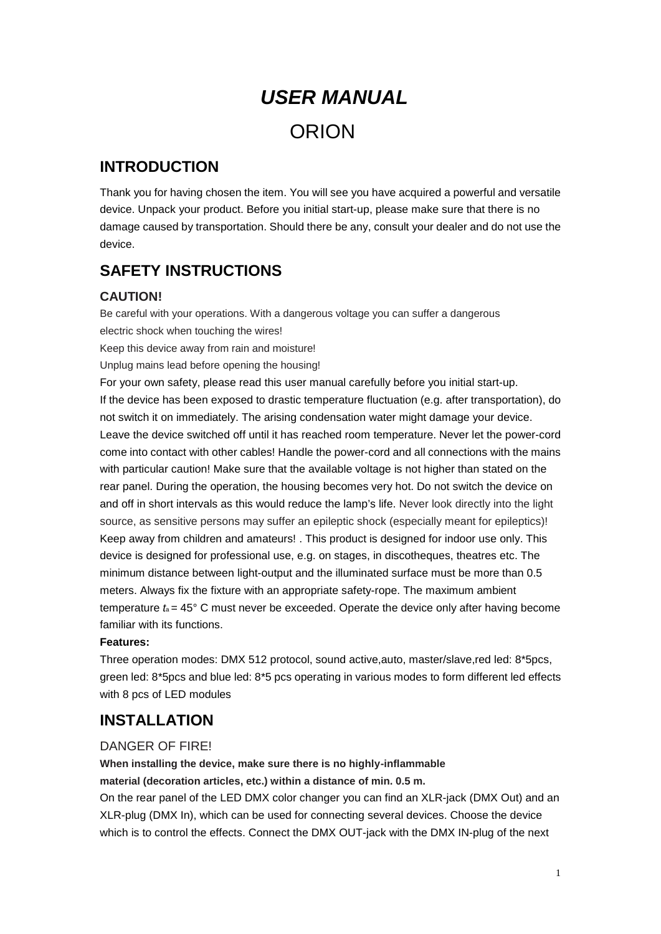# *USER MANUAL* ORION

### **INTRODUCTION**

Thank you for having chosen the item. You will see you have acquired a powerful and versatile device. Unpack your product. Before you initial start-up, please make sure that there is no damage caused by transportation. Should there be any, consult your dealer and do not use the device.

# **SAFETY INSTRUCTIONS**

### **CAUTION!**

Be careful with your operations. With a dangerous voltage you can suffer a dangerous electric shock when touching the wires!

Keep this device away from rain and moisture!

Unplug mains lead before opening the housing!

For your own safety, please read this user manual carefully before you initial start-up. If the device has been exposed to drastic temperature fluctuation (e.g. after transportation), do not switch it on immediately. The arising condensation water might damage your device. Leave the device switched off until it has reached room temperature. Never let the power-cord come into contact with other cables! Handle the power-cord and all connections with the mains with particular caution! Make sure that the available voltage is not higher than stated on the rear panel. During the operation, the housing becomes very hot. Do not switch the device on and off in short intervals as this would reduce the lamp's life. Never look directly into the light source, as sensitive persons may suffer an epileptic shock (especially meant for epileptics)! Keep away from children and amateurs! . This product is designed for indoor use only. This device is designed for professional use, e.g. on stages, in discotheques, theatres etc. The minimum distance between light-output and the illuminated surface must be more than 0.5 meters. Always fix the fixture with an appropriate safety-rope. The maximum ambient temperature *t*<sup>a</sup> = 45° C must never be exceeded. Operate the device only after having become familiar with its functions.

### **Features:**

Three operation modes: DMX 512 protocol, sound active,auto, master/slave,red led: 8\*5pcs, green led: 8\*5pcs and blue led: 8\*5 pcs operating in various modes to form different led effects with 8 pcs of LED modules

# **INSTALLATION**

### DANGER OF FIRE!

**When installing the device, make sure there is no highly-inflammable material (decoration articles, etc.) within a distance of min. 0.5 m.**

On the rear panel of the LED DMX color changer you can find an XLR-jack (DMX Out) and an XLR-plug (DMX In), which can be used for connecting several devices. Choose the device which is to control the effects. Connect the DMX OUT-jack with the DMX IN-plug of the next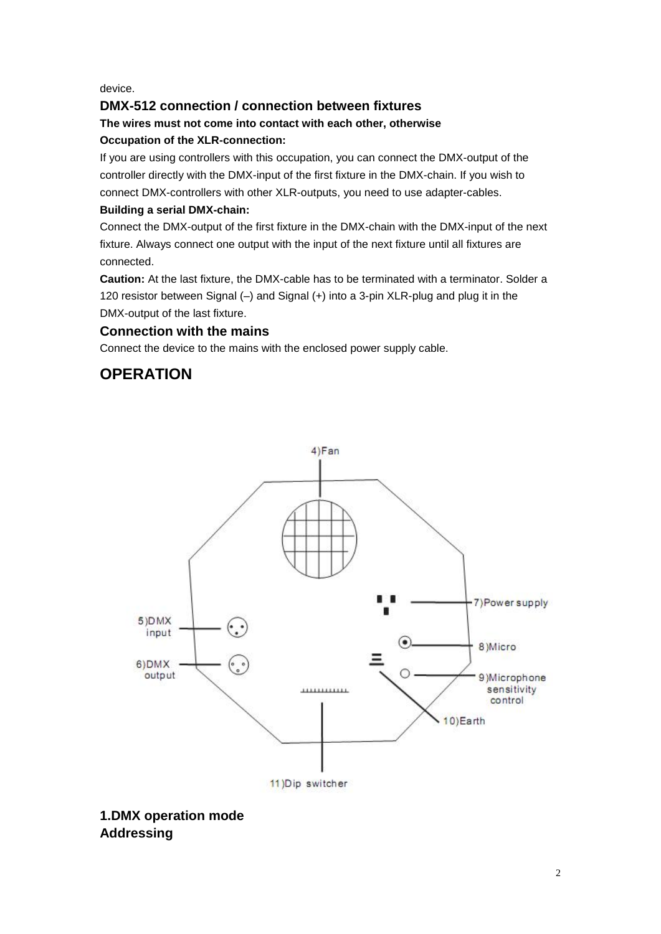device.

### **DMX-512 connection / connection between fixtures**

### **The wires must not come into contact with each other, otherwise Occupation of the XLR-connection:**

If you are using controllers with this occupation, you can connect the DMX-output of the controller directly with the DMX-input of the first fixture in the DMX-chain. If you wish to connect DMX-controllers with other XLR-outputs, you need to use adapter-cables.

#### **Building a serial DMX-chain:**

Connect the DMX-output of the first fixture in the DMX-chain with the DMX-input of the next fixture. Always connect one output with the input of the next fixture until all fixtures are connected.

**Caution:** At the last fixture, the DMX-cable has to be terminated with a terminator. Solder a 120 resistor between Signal (–) and Signal (+) into a 3-pin XLR-plug and plug it in the DMX-output of the last fixture.

### **Connection with the mains**

Connect the device to the mains with the enclosed power supply cable.

### **OPERATION**



### **1.DMX operation mode Addressing**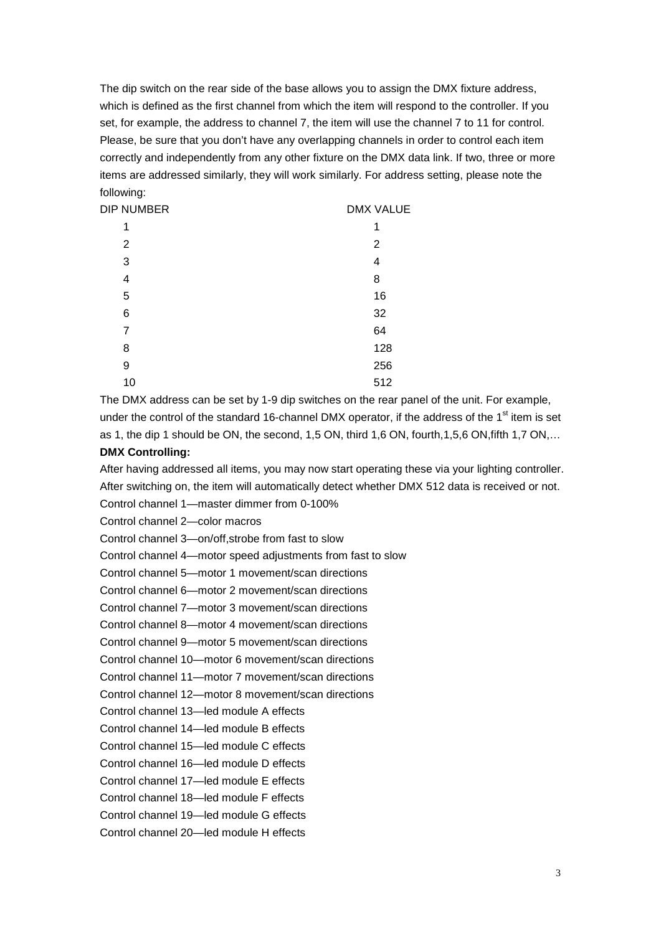The dip switch on the rear side of the base allows you to assign the DMX fixture address, which is defined as the first channel from which the item will respond to the controller. If you set, for example, the address to channel 7, the item will use the channel 7 to 11 for control. Please, be sure that you don't have any overlapping channels in order to control each item correctly and independently from any other fixture on the DMX data link. If two, three or more items are addressed similarly, they will work similarly. For address setting, please note the following:

| DIP NUMBER | <b>DMX VALUE</b> |
|------------|------------------|
| 1          | 1                |
| 2          | 2                |
| 3          | 4                |
| 4          | 8                |
| 5          | 16               |
| 6          | 32               |
| 7          | 64               |
| 8          | 128              |
| 9          | 256              |
| 10         | 512              |

The DMX address can be set by 1-9 dip switches on the rear panel of the unit. For example, under the control of the standard 16-channel DMX operator, if the address of the  $1<sup>st</sup>$  item is set as 1, the dip 1 should be ON, the second, 1,5 ON, third 1,6 ON, fourth,1,5,6 ON,fifth 1,7 ON,…

#### **DMX Controlling:**

After having addressed all items, you may now start operating these via your lighting controller. After switching on, the item will automatically detect whether DMX 512 data is received or not. Control channel 1—master dimmer from 0-100%

Control channel 2—color macros

Control channel 3—on/off,strobe from fast to slow

Control channel 4—motor speed adjustments from fast to slow

Control channel 5—motor 1 movement/scan directions

Control channel 6—motor 2 movement/scan directions

Control channel 7—motor 3 movement/scan directions

Control channel 8—motor 4 movement/scan directions

Control channel 9—motor 5 movement/scan directions

Control channel 10—motor 6 movement/scan directions

Control channel 11—motor 7 movement/scan directions

Control channel 12—motor 8 movement/scan directions

Control channel 13—led module A effects

Control channel 14—led module B effects

Control channel 15—led module C effects

Control channel 16—led module D effects

Control channel 17—led module E effects

Control channel 18—led module F effects

Control channel 19—led module G effects

Control channel 20—led module H effects